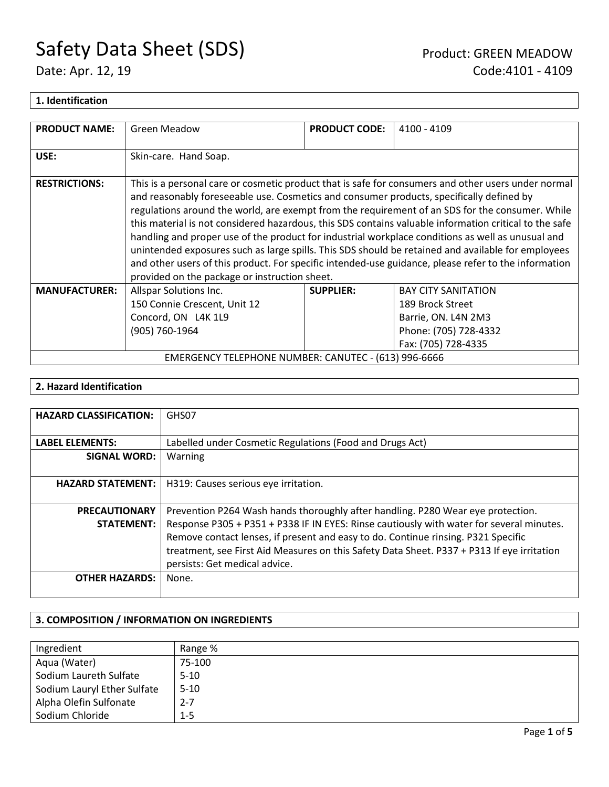### **1. Identification**

| <b>PRODUCT NAME:</b> | Green Meadow                                                                                                                              | <b>PRODUCT CODE:</b> | 4100 - 4109                                                                                                                                                                                                                                                                                                                                                                                                                                                                                                                                                                                                                         |
|----------------------|-------------------------------------------------------------------------------------------------------------------------------------------|----------------------|-------------------------------------------------------------------------------------------------------------------------------------------------------------------------------------------------------------------------------------------------------------------------------------------------------------------------------------------------------------------------------------------------------------------------------------------------------------------------------------------------------------------------------------------------------------------------------------------------------------------------------------|
| USE:                 | Skin-care. Hand Soap.                                                                                                                     |                      |                                                                                                                                                                                                                                                                                                                                                                                                                                                                                                                                                                                                                                     |
| <b>RESTRICTIONS:</b> | and reasonably foreseeable use. Cosmetics and consumer products, specifically defined by<br>provided on the package or instruction sheet. |                      | This is a personal care or cosmetic product that is safe for consumers and other users under normal<br>regulations around the world, are exempt from the requirement of an SDS for the consumer. While<br>this material is not considered hazardous, this SDS contains valuable information critical to the safe<br>handling and proper use of the product for industrial workplace conditions as well as unusual and<br>unintended exposures such as large spills. This SDS should be retained and available for employees<br>and other users of this product. For specific intended-use guidance, please refer to the information |
| <b>MANUFACTURER:</b> | Allspar Solutions Inc.<br>150 Connie Crescent, Unit 12<br>Concord, ON L4K 1L9                                                             | <b>SUPPLIER:</b>     | <b>BAY CITY SANITATION</b><br>189 Brock Street<br>Barrie, ON. L4N 2M3                                                                                                                                                                                                                                                                                                                                                                                                                                                                                                                                                               |
|                      | (905) 760-1964<br>Phone: (705) 728-4332<br>Fax: (705) 728-4335<br>EMERGENCY TELEPHONE NUMBER: CANUTEC - (613) 996-6666                    |                      |                                                                                                                                                                                                                                                                                                                                                                                                                                                                                                                                                                                                                                     |

### **2. Hazard Identification**

| <b>HAZARD CLASSIFICATION:</b> | GHS07                                                                                      |
|-------------------------------|--------------------------------------------------------------------------------------------|
| <b>LABEL ELEMENTS:</b>        | Labelled under Cosmetic Regulations (Food and Drugs Act)                                   |
| <b>SIGNAL WORD:</b>           | Warning                                                                                    |
|                               |                                                                                            |
| <b>HAZARD STATEMENT:</b>      | H319: Causes serious eye irritation.                                                       |
|                               |                                                                                            |
| <b>PRECAUTIONARY</b>          | Prevention P264 Wash hands thoroughly after handling. P280 Wear eye protection.            |
| <b>STATEMENT:</b>             | Response P305 + P351 + P338 IF IN EYES: Rinse cautiously with water for several minutes.   |
|                               | Remove contact lenses, if present and easy to do. Continue rinsing. P321 Specific          |
|                               | treatment, see First Aid Measures on this Safety Data Sheet. P337 + P313 If eye irritation |
|                               | persists: Get medical advice.                                                              |
| <b>OTHER HAZARDS:</b>         | None.                                                                                      |
|                               |                                                                                            |

### **3. COMPOSITION / INFORMATION ON INGREDIENTS**

| Ingredient                  | Range %  |
|-----------------------------|----------|
| Aqua (Water)                | 75-100   |
| Sodium Laureth Sulfate      | $5-10$   |
| Sodium Lauryl Ether Sulfate | $5 - 10$ |
| Alpha Olefin Sulfonate      | 2-7      |
| Sodium Chloride             | $1 - 5$  |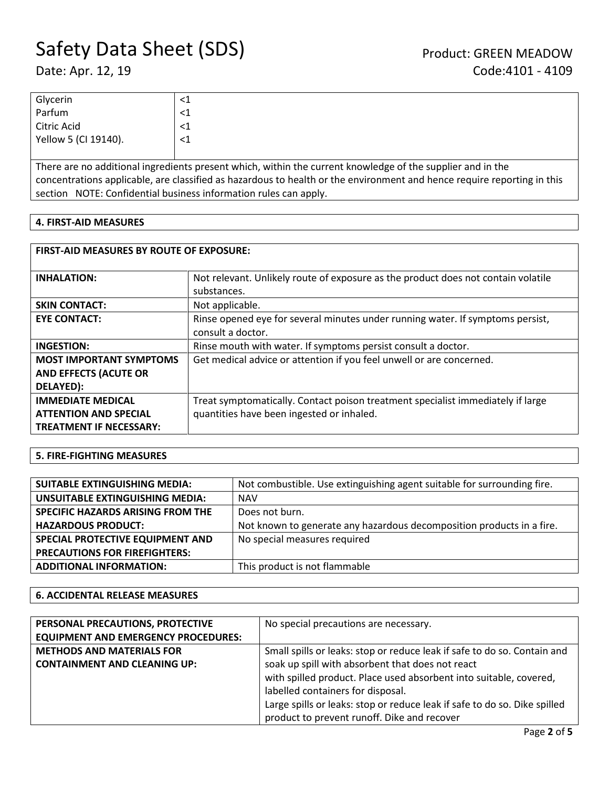| Glycerin             | 71.      |
|----------------------|----------|
| Parfum               | <1       |
| Citric Acid          | ╰┸       |
| Yellow 5 (CI 19140). | $\leq$ 1 |
|                      |          |

There are no additional ingredients present which, within the current knowledge of the supplier and in the concentrations applicable, are classified as hazardous to health or the environment and hence require reporting in this section NOTE: Confidential business information rules can apply.

### **4. FIRST-AID MEASURES**

| <b>FIRST-AID MEASURES BY ROUTE OF EXPOSURE:</b> |                                                                                   |  |
|-------------------------------------------------|-----------------------------------------------------------------------------------|--|
| <b>INHALATION:</b>                              | Not relevant. Unlikely route of exposure as the product does not contain volatile |  |
|                                                 | substances.                                                                       |  |
| <b>SKIN CONTACT:</b>                            | Not applicable.                                                                   |  |
| <b>EYE CONTACT:</b>                             | Rinse opened eye for several minutes under running water. If symptoms persist,    |  |
|                                                 | consult a doctor.                                                                 |  |
| <b>INGESTION:</b>                               | Rinse mouth with water. If symptoms persist consult a doctor.                     |  |
| <b>MOST IMPORTANT SYMPTOMS</b>                  | Get medical advice or attention if you feel unwell or are concerned.              |  |
| <b>AND EFFECTS (ACUTE OR</b>                    |                                                                                   |  |
| DELAYED):                                       |                                                                                   |  |
| <b>IMMEDIATE MEDICAL</b>                        | Treat symptomatically. Contact poison treatment specialist immediately if large   |  |
| <b>ATTENTION AND SPECIAL</b>                    | quantities have been ingested or inhaled.                                         |  |
| <b>TREATMENT IF NECESSARY:</b>                  |                                                                                   |  |

### **5. FIRE-FIGHTING MEASURES**

| <b>SUITABLE EXTINGUISHING MEDIA:</b> | Not combustible. Use extinguishing agent suitable for surrounding fire. |
|--------------------------------------|-------------------------------------------------------------------------|
| UNSUITABLE EXTINGUISHING MEDIA:      | <b>NAV</b>                                                              |
| SPECIFIC HAZARDS ARISING FROM THE    | Does not burn.                                                          |
| <b>HAZARDOUS PRODUCT:</b>            | Not known to generate any hazardous decomposition products in a fire.   |
| SPECIAL PROTECTIVE EQUIPMENT AND     | No special measures required                                            |
| <b>PRECAUTIONS FOR FIREFIGHTERS:</b> |                                                                         |
| <b>ADDITIONAL INFORMATION:</b>       | This product is not flammable                                           |

### **6. ACCIDENTAL RELEASE MEASURES**

| PERSONAL PRECAUTIONS, PROTECTIVE           | No special precautions are necessary.                                     |
|--------------------------------------------|---------------------------------------------------------------------------|
| <b>EQUIPMENT AND EMERGENCY PROCEDURES:</b> |                                                                           |
| <b>METHODS AND MATERIALS FOR</b>           | Small spills or leaks: stop or reduce leak if safe to do so. Contain and  |
| <b>CONTAINMENT AND CLEANING UP:</b>        | soak up spill with absorbent that does not react                          |
|                                            | with spilled product. Place used absorbent into suitable, covered,        |
|                                            | labelled containers for disposal.                                         |
|                                            | Large spills or leaks: stop or reduce leak if safe to do so. Dike spilled |
|                                            | product to prevent runoff. Dike and recover                               |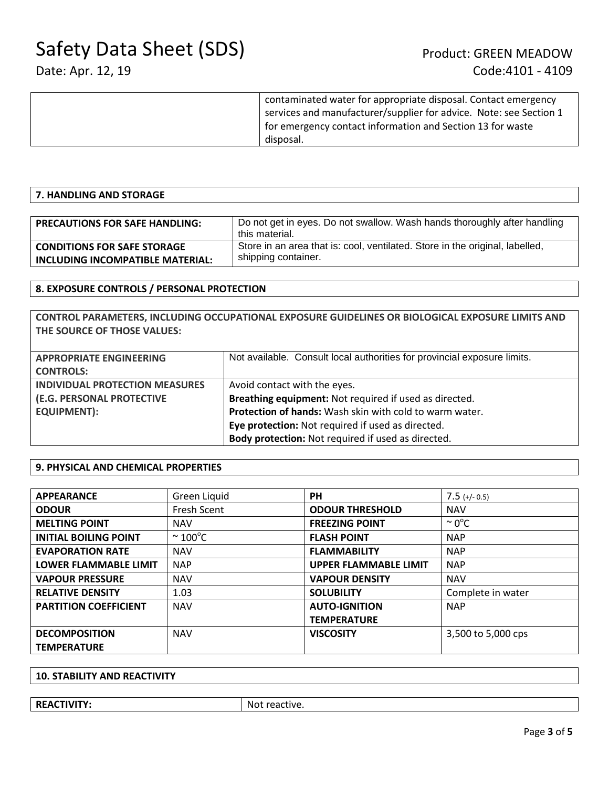| contaminated water for appropriate disposal. Contact emergency     |
|--------------------------------------------------------------------|
| services and manufacturer/supplier for advice. Note: see Section 1 |
| for emergency contact information and Section 13 for waste         |
| disposal.                                                          |
|                                                                    |

### **7. HANDLING AND STORAGE**

| <b>PRECAUTIONS FOR SAFE HANDLING:</b> | Do not get in eyes. Do not swallow. Wash hands thoroughly after handling<br>this material. |
|---------------------------------------|--------------------------------------------------------------------------------------------|
| <b>CONDITIONS FOR SAFE STORAGE</b>    | Store in an area that is: cool, ventilated. Store in the original, labelled,               |
| INCLUDING INCOMPATIBLE MATERIAL:      | shipping container.                                                                        |

### **8. EXPOSURE CONTROLS / PERSONAL PROTECTION**

**CONTROL PARAMETERS, INCLUDING OCCUPATIONAL EXPOSURE GUIDELINES OR BIOLOGICAL EXPOSURE LIMITS AND THE SOURCE OF THOSE VALUES:**

| <b>APPROPRIATE ENGINEERING</b>        | Not available. Consult local authorities for provincial exposure limits. |
|---------------------------------------|--------------------------------------------------------------------------|
| <b>CONTROLS:</b>                      |                                                                          |
| <b>INDIVIDUAL PROTECTION MEASURES</b> | Avoid contact with the eyes.                                             |
| (E.G. PERSONAL PROTECTIVE             | Breathing equipment: Not required if used as directed.                   |
| <b>EQUIPMENT):</b>                    | Protection of hands: Wash skin with cold to warm water.                  |
|                                       | Eye protection: Not required if used as directed.                        |
|                                       | Body protection: Not required if used as directed.                       |

### **9. PHYSICAL AND CHEMICAL PROPERTIES**

| <b>APPEARANCE</b>            | Green Liquid            | <b>PH</b>                    | $7.5$ (+/- 0.5)    |
|------------------------------|-------------------------|------------------------------|--------------------|
| <b>ODOUR</b>                 | Fresh Scent             | <b>ODOUR THRESHOLD</b>       | <b>NAV</b>         |
| <b>MELTING POINT</b>         | <b>NAV</b>              | <b>FREEZING POINT</b>        | $\sim 0^{\circ}$ C |
| <b>INITIAL BOILING POINT</b> | $\sim$ 100 $^{\circ}$ C | <b>FLASH POINT</b>           | <b>NAP</b>         |
| <b>EVAPORATION RATE</b>      | <b>NAV</b>              | <b>FLAMMABILITY</b>          | <b>NAP</b>         |
| <b>LOWER FLAMMABLE LIMIT</b> | <b>NAP</b>              | <b>UPPER FLAMMABLE LIMIT</b> | <b>NAP</b>         |
| <b>VAPOUR PRESSURE</b>       | <b>NAV</b>              | <b>VAPOUR DENSITY</b>        | <b>NAV</b>         |
| <b>RELATIVE DENSITY</b>      | 1.03                    | <b>SOLUBILITY</b>            | Complete in water  |
| <b>PARTITION COEFFICIENT</b> | <b>NAV</b>              | <b>AUTO-IGNITION</b>         | <b>NAP</b>         |
|                              |                         | <b>TEMPERATURE</b>           |                    |
| <b>DECOMPOSITION</b>         | <b>NAV</b>              | <b>VISCOSITY</b>             | 3,500 to 5,000 cps |
| <b>TEMPERATURE</b>           |                         |                              |                    |

### **10. STABILITY AND REACTIVITY**

| <b>REA</b><br>$\Delta$ CTIVIT | No1<br>ctive<br>. еа. |
|-------------------------------|-----------------------|
|                               |                       |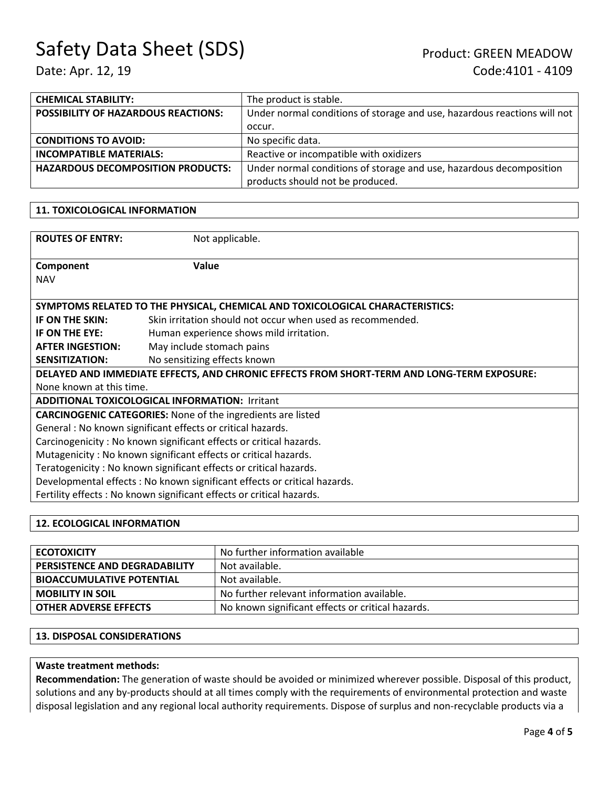| <b>CHEMICAL STABILITY:</b>                 | The product is stable.                                                   |
|--------------------------------------------|--------------------------------------------------------------------------|
| <b>POSSIBILITY OF HAZARDOUS REACTIONS:</b> | Under normal conditions of storage and use, hazardous reactions will not |
|                                            | occur.                                                                   |
| <b>CONDITIONS TO AVOID:</b>                | No specific data.                                                        |
| <b>INCOMPATIBLE MATERIALS:</b>             | Reactive or incompatible with oxidizers                                  |
| <b>HAZARDOUS DECOMPOSITION PRODUCTS:</b>   | Under normal conditions of storage and use, hazardous decomposition      |
|                                            | products should not be produced.                                         |

### **11. TOXICOLOGICAL INFORMATION**

| <b>ROUTES OF ENTRY:</b>                                                                    | Not applicable.                                            |  |
|--------------------------------------------------------------------------------------------|------------------------------------------------------------|--|
| Component                                                                                  | Value                                                      |  |
| <b>NAV</b>                                                                                 |                                                            |  |
|                                                                                            |                                                            |  |
| SYMPTOMS RELATED TO THE PHYSICAL, CHEMICAL AND TOXICOLOGICAL CHARACTERISTICS:              |                                                            |  |
| IF ON THE SKIN:                                                                            | Skin irritation should not occur when used as recommended. |  |
| IF ON THE EYE:                                                                             | Human experience shows mild irritation.                    |  |
| <b>AFTER INGESTION:</b>                                                                    | May include stomach pains                                  |  |
| <b>SENSITIZATION:</b>                                                                      | No sensitizing effects known                               |  |
| DELAYED AND IMMEDIATE EFFECTS, AND CHRONIC EFFECTS FROM SHORT-TERM AND LONG-TERM EXPOSURE: |                                                            |  |
| None known at this time.                                                                   |                                                            |  |
| <b>ADDITIONAL TOXICOLOGICAL INFORMATION: Irritant</b>                                      |                                                            |  |
| <b>CARCINOGENIC CATEGORIES:</b> None of the ingredients are listed                         |                                                            |  |
| General: No known significant effects or critical hazards.                                 |                                                            |  |
| Carcinogenicity: No known significant effects or critical hazards.                         |                                                            |  |
| Mutagenicity: No known significant effects or critical hazards.                            |                                                            |  |
| Teratogenicity: No known significant effects or critical hazards.                          |                                                            |  |
| Developmental effects : No known significant effects or critical hazards.                  |                                                            |  |
| Fertility effects: No known significant effects or critical hazards.                       |                                                            |  |
|                                                                                            |                                                            |  |
|                                                                                            |                                                            |  |

### **12. ECOLOGICAL INFORMATION**

| <b>ECOTOXICITY</b>                   | No further information available                  |
|--------------------------------------|---------------------------------------------------|
| <b>PERSISTENCE AND DEGRADABILITY</b> | Not available.                                    |
| <b>BIOACCUMULATIVE POTENTIAL</b>     | Not available.                                    |
| <b>MOBILITY IN SOIL</b>              | No further relevant information available.        |
| <b>OTHER ADVERSE EFFECTS</b>         | No known significant effects or critical hazards. |

### **13. DISPOSAL CONSIDERATIONS**

### **Waste treatment methods:**

**Recommendation:** The generation of waste should be avoided or minimized wherever possible. Disposal of this product, solutions and any by-products should at all times comply with the requirements of environmental protection and waste disposal legislation and any regional local authority requirements. Dispose of surplus and non-recyclable products via a